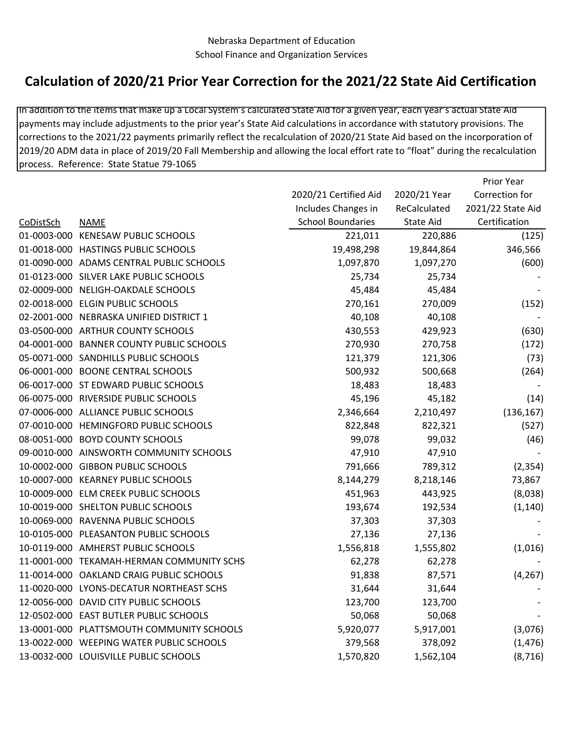## Calculation of 2020/21 Prior Year Correction for the 2021/22 State Aid Certification

In addition to the items that make up a Local System's calculated State Aid for a given year, each year's actual State Aid payments may include adjustments to the prior year's State Aid calculations in accordance with statutory provisions. The corrections to the 2021/22 payments primarily reflect the recalculation of 2020/21 State Aid based on the incorporation of 2019/20 ADM data in place of 2019/20 Fall Membership and allowing the local effort rate to "float" during the recalculation process. Reference: State Statue 79-1065

Prior Year

|           |                                           |                          |                  | PHUL TEAT         |
|-----------|-------------------------------------------|--------------------------|------------------|-------------------|
|           |                                           | 2020/21 Certified Aid    | 2020/21 Year     | Correction for    |
|           |                                           | Includes Changes in      | ReCalculated     | 2021/22 State Aid |
| CoDistSch | <b>NAME</b>                               | <b>School Boundaries</b> | <b>State Aid</b> | Certification     |
|           | 01-0003-000 KENESAW PUBLIC SCHOOLS        | 221,011                  | 220,886          | (125)             |
|           | 01-0018-000 HASTINGS PUBLIC SCHOOLS       | 19,498,298               | 19,844,864       | 346,566           |
|           | 01-0090-000 ADAMS CENTRAL PUBLIC SCHOOLS  | 1,097,870                | 1,097,270        | (600)             |
|           | 01-0123-000 SILVER LAKE PUBLIC SCHOOLS    | 25,734                   | 25,734           |                   |
|           | 02-0009-000 NELIGH-OAKDALE SCHOOLS        | 45,484                   | 45,484           |                   |
|           | 02-0018-000 ELGIN PUBLIC SCHOOLS          | 270,161                  | 270,009          | (152)             |
|           | 02-2001-000 NEBRASKA UNIFIED DISTRICT 1   | 40,108                   | 40,108           |                   |
|           | 03-0500-000 ARTHUR COUNTY SCHOOLS         | 430,553                  | 429,923          | (630)             |
|           | 04-0001-000 BANNER COUNTY PUBLIC SCHOOLS  | 270,930                  | 270,758          | (172)             |
|           | 05-0071-000 SANDHILLS PUBLIC SCHOOLS      | 121,379                  | 121,306          | (73)              |
|           | 06-0001-000 BOONE CENTRAL SCHOOLS         | 500,932                  | 500,668          | (264)             |
|           | 06-0017-000 ST EDWARD PUBLIC SCHOOLS      | 18,483                   | 18,483           |                   |
|           | 06-0075-000 RIVERSIDE PUBLIC SCHOOLS      | 45,196                   | 45,182           | (14)              |
|           | 07-0006-000 ALLIANCE PUBLIC SCHOOLS       | 2,346,664                | 2,210,497        | (136, 167)        |
|           | 07-0010-000 HEMINGFORD PUBLIC SCHOOLS     | 822,848                  | 822,321          | (527)             |
|           | 08-0051-000 BOYD COUNTY SCHOOLS           | 99,078                   | 99,032           | (46)              |
|           | 09-0010-000 AINSWORTH COMMUNITY SCHOOLS   | 47,910                   | 47,910           |                   |
|           | 10-0002-000 GIBBON PUBLIC SCHOOLS         | 791,666                  | 789,312          | (2, 354)          |
|           | 10-0007-000 KEARNEY PUBLIC SCHOOLS        | 8,144,279                | 8,218,146        | 73,867            |
|           | 10-0009-000 ELM CREEK PUBLIC SCHOOLS      | 451,963                  | 443,925          | (8,038)           |
|           | 10-0019-000 SHELTON PUBLIC SCHOOLS        | 193,674                  | 192,534          | (1, 140)          |
|           | 10-0069-000 RAVENNA PUBLIC SCHOOLS        | 37,303                   | 37,303           |                   |
|           | 10-0105-000 PLEASANTON PUBLIC SCHOOLS     | 27,136                   | 27,136           |                   |
|           | 10-0119-000 AMHERST PUBLIC SCHOOLS        | 1,556,818                | 1,555,802        | (1,016)           |
|           | 11-0001-000 TEKAMAH-HERMAN COMMUNITY SCHS | 62,278                   | 62,278           |                   |
|           | 11-0014-000 OAKLAND CRAIG PUBLIC SCHOOLS  | 91,838                   | 87,571           | (4, 267)          |
|           | 11-0020-000 LYONS-DECATUR NORTHEAST SCHS  | 31,644                   | 31,644           |                   |
|           | 12-0056-000 DAVID CITY PUBLIC SCHOOLS     | 123,700                  | 123,700          |                   |
|           | 12-0502-000 EAST BUTLER PUBLIC SCHOOLS    | 50,068                   | 50,068           |                   |
|           | 13-0001-000 PLATTSMOUTH COMMUNITY SCHOOLS | 5,920,077                | 5,917,001        | (3,076)           |
|           | 13-0022-000 WEEPING WATER PUBLIC SCHOOLS  | 379,568                  | 378,092          | (1, 476)          |
|           | 13-0032-000 LOUISVILLE PUBLIC SCHOOLS     | 1,570,820                | 1,562,104        | (8, 716)          |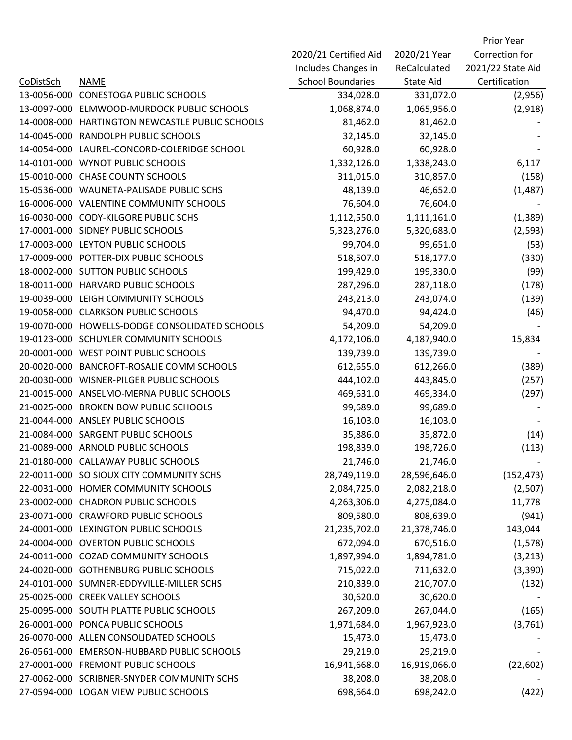|                  |                                            |                          |              | Prior Year        |
|------------------|--------------------------------------------|--------------------------|--------------|-------------------|
|                  |                                            | 2020/21 Certified Aid    | 2020/21 Year | Correction for    |
|                  |                                            | Includes Changes in      | ReCalculated | 2021/22 State Aid |
| <b>CoDistSch</b> | <b>NAME</b>                                | <b>School Boundaries</b> | State Aid    | Certification     |
| 13-0056-000      | <b>CONESTOGA PUBLIC SCHOOLS</b>            | 334,028.0                | 331,072.0    | (2,956)           |
| 13-0097-000      | ELMWOOD-MURDOCK PUBLIC SCHOOLS             | 1,068,874.0              | 1,065,956.0  | (2,918)           |
| 14-0008-000      | HARTINGTON NEWCASTLE PUBLIC SCHOOLS        | 81,462.0                 | 81,462.0     |                   |
| 14-0045-000      | RANDOLPH PUBLIC SCHOOLS                    | 32,145.0                 | 32,145.0     |                   |
| 14-0054-000      | LAUREL-CONCORD-COLERIDGE SCHOOL            | 60,928.0                 | 60,928.0     |                   |
| 14-0101-000      | <b>WYNOT PUBLIC SCHOOLS</b>                | 1,332,126.0              | 1,338,243.0  | 6,117             |
|                  | 15-0010-000 CHASE COUNTY SCHOOLS           | 311,015.0                | 310,857.0    | (158)             |
|                  | 15-0536-000 WAUNETA-PALISADE PUBLIC SCHS   | 48,139.0                 | 46,652.0     | (1, 487)          |
|                  | 16-0006-000 VALENTINE COMMUNITY SCHOOLS    | 76,604.0                 | 76,604.0     |                   |
| 16-0030-000      | <b>CODY-KILGORE PUBLIC SCHS</b>            | 1,112,550.0              | 1,111,161.0  | (1, 389)          |
|                  | 17-0001-000 SIDNEY PUBLIC SCHOOLS          | 5,323,276.0              | 5,320,683.0  | (2, 593)          |
|                  | 17-0003-000 LEYTON PUBLIC SCHOOLS          | 99,704.0                 | 99,651.0     | (53)              |
|                  | 17-0009-000 POTTER-DIX PUBLIC SCHOOLS      | 518,507.0                | 518,177.0    | (330)             |
|                  | 18-0002-000 SUTTON PUBLIC SCHOOLS          | 199,429.0                | 199,330.0    | (99)              |
| 18-0011-000      | <b>HARVARD PUBLIC SCHOOLS</b>              | 287,296.0                | 287,118.0    | (178)             |
|                  | 19-0039-000 LEIGH COMMUNITY SCHOOLS        | 243,213.0                | 243,074.0    | (139)             |
| 19-0058-000      | <b>CLARKSON PUBLIC SCHOOLS</b>             | 94,470.0                 | 94,424.0     | (46)              |
| 19-0070-000      | HOWELLS-DODGE CONSOLIDATED SCHOOLS         | 54,209.0                 | 54,209.0     |                   |
|                  | 19-0123-000 SCHUYLER COMMUNITY SCHOOLS     | 4,172,106.0              | 4,187,940.0  | 15,834            |
| 20-0001-000      | <b>WEST POINT PUBLIC SCHOOLS</b>           | 139,739.0                | 139,739.0    |                   |
|                  | 20-0020-000 BANCROFT-ROSALIE COMM SCHOOLS  | 612,655.0                | 612,266.0    | (389)             |
|                  | 20-0030-000 WISNER-PILGER PUBLIC SCHOOLS   | 444,102.0                | 443,845.0    | (257)             |
|                  | 21-0015-000 ANSELMO-MERNA PUBLIC SCHOOLS   | 469,631.0                | 469,334.0    | (297)             |
| 21-0025-000      | <b>BROKEN BOW PUBLIC SCHOOLS</b>           | 99,689.0                 | 99,689.0     |                   |
|                  | 21-0044-000 ANSLEY PUBLIC SCHOOLS          | 16,103.0                 | 16,103.0     |                   |
|                  | 21-0084-000 SARGENT PUBLIC SCHOOLS         | 35,886.0                 | 35,872.0     | (14)              |
|                  | 21-0089-000 ARNOLD PUBLIC SCHOOLS          | 198,839.0                | 198,726.0    | (113)             |
|                  | 21-0180-000 CALLAWAY PUBLIC SCHOOLS        | 21,746.0                 | 21,746.0     |                   |
|                  | 22-0011-000 SO SIOUX CITY COMMUNITY SCHS   | 28,749,119.0             | 28,596,646.0 | (152, 473)        |
|                  | 22-0031-000 HOMER COMMUNITY SCHOOLS        | 2,084,725.0              | 2,082,218.0  | (2,507)           |
|                  | 23-0002-000 CHADRON PUBLIC SCHOOLS         | 4,263,306.0              | 4,275,084.0  | 11,778            |
|                  | 23-0071-000 CRAWFORD PUBLIC SCHOOLS        | 809,580.0                | 808,639.0    | (941)             |
|                  | 24-0001-000 LEXINGTON PUBLIC SCHOOLS       | 21,235,702.0             | 21,378,746.0 | 143,044           |
|                  | 24-0004-000 OVERTON PUBLIC SCHOOLS         | 672,094.0                | 670,516.0    | (1, 578)          |
|                  | 24-0011-000 COZAD COMMUNITY SCHOOLS        | 1,897,994.0              | 1,894,781.0  | (3, 213)          |
| 24-0020-000      | <b>GOTHENBURG PUBLIC SCHOOLS</b>           | 715,022.0                | 711,632.0    | (3,390)           |
|                  | 24-0101-000 SUMNER-EDDYVILLE-MILLER SCHS   | 210,839.0                | 210,707.0    | (132)             |
|                  | 25-0025-000 CREEK VALLEY SCHOOLS           | 30,620.0                 | 30,620.0     |                   |
|                  | 25-0095-000 SOUTH PLATTE PUBLIC SCHOOLS    | 267,209.0                | 267,044.0    | (165)             |
|                  | 26-0001-000 PONCA PUBLIC SCHOOLS           | 1,971,684.0              | 1,967,923.0  | (3,761)           |
| 26-0070-000      | ALLEN CONSOLIDATED SCHOOLS                 | 15,473.0                 | 15,473.0     |                   |
| 26-0561-000      | <b>EMERSON-HUBBARD PUBLIC SCHOOLS</b>      | 29,219.0                 | 29,219.0     |                   |
| 27-0001-000      | <b>FREMONT PUBLIC SCHOOLS</b>              | 16,941,668.0             | 16,919,066.0 | (22, 602)         |
|                  | 27-0062-000 SCRIBNER-SNYDER COMMUNITY SCHS | 38,208.0                 | 38,208.0     |                   |
|                  | 27-0594-000 LOGAN VIEW PUBLIC SCHOOLS      | 698,664.0                | 698,242.0    | (422)             |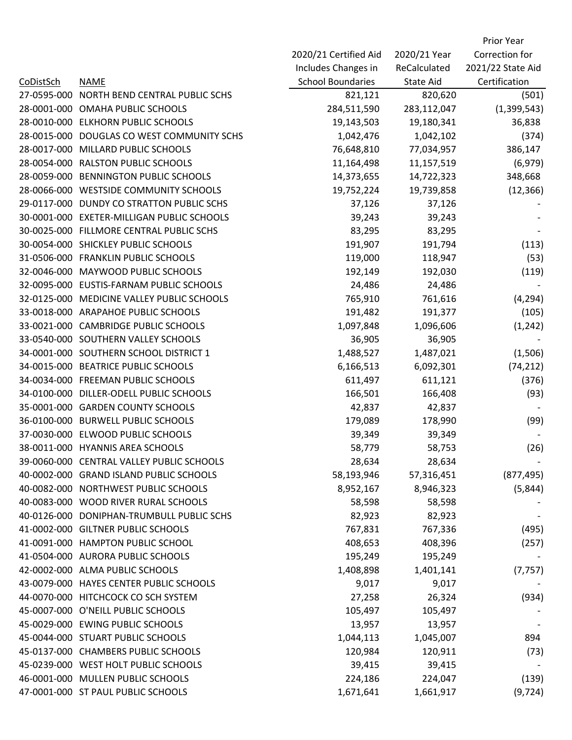|                  |                                          |                          |              | Prior Year        |
|------------------|------------------------------------------|--------------------------|--------------|-------------------|
|                  |                                          | 2020/21 Certified Aid    | 2020/21 Year | Correction for    |
|                  |                                          | Includes Changes in      | ReCalculated | 2021/22 State Aid |
| <b>CoDistSch</b> | <b>NAME</b>                              | <b>School Boundaries</b> | State Aid    | Certification     |
| 27-0595-000      | NORTH BEND CENTRAL PUBLIC SCHS           | 821,121                  | 820,620      | (501)             |
| 28-0001-000      | OMAHA PUBLIC SCHOOLS                     | 284,511,590              | 283,112,047  | (1,399,543)       |
| 28-0010-000      | <b>ELKHORN PUBLIC SCHOOLS</b>            | 19,143,503               | 19,180,341   | 36,838            |
| 28-0015-000      | DOUGLAS CO WEST COMMUNITY SCHS           | 1,042,476                | 1,042,102    | (374)             |
| 28-0017-000      | MILLARD PUBLIC SCHOOLS                   | 76,648,810               | 77,034,957   | 386,147           |
| 28-0054-000      | <b>RALSTON PUBLIC SCHOOLS</b>            | 11,164,498               | 11,157,519   | (6, 979)          |
| 28-0059-000      | <b>BENNINGTON PUBLIC SCHOOLS</b>         | 14,373,655               | 14,722,323   | 348,668           |
| 28-0066-000      | <b>WESTSIDE COMMUNITY SCHOOLS</b>        | 19,752,224               | 19,739,858   | (12, 366)         |
| 29-0117-000      | DUNDY CO STRATTON PUBLIC SCHS            | 37,126                   | 37,126       |                   |
| 30-0001-000      | <b>EXETER-MILLIGAN PUBLIC SCHOOLS</b>    | 39,243                   | 39,243       |                   |
|                  | 30-0025-000 FILLMORE CENTRAL PUBLIC SCHS | 83,295                   | 83,295       |                   |
|                  | 30-0054-000 SHICKLEY PUBLIC SCHOOLS      | 191,907                  | 191,794      | (113)             |
|                  | 31-0506-000 FRANKLIN PUBLIC SCHOOLS      | 119,000                  | 118,947      | (53)              |
| 32-0046-000      | MAYWOOD PUBLIC SCHOOLS                   | 192,149                  | 192,030      | (119)             |
| 32-0095-000      | EUSTIS-FARNAM PUBLIC SCHOOLS             | 24,486                   | 24,486       |                   |
| 32-0125-000      | MEDICINE VALLEY PUBLIC SCHOOLS           | 765,910                  | 761,616      | (4, 294)          |
|                  | 33-0018-000 ARAPAHOE PUBLIC SCHOOLS      | 191,482                  | 191,377      | (105)             |
|                  | 33-0021-000 CAMBRIDGE PUBLIC SCHOOLS     | 1,097,848                | 1,096,606    | (1, 242)          |
|                  | 33-0540-000 SOUTHERN VALLEY SCHOOLS      | 36,905                   | 36,905       |                   |
|                  | 34-0001-000 SOUTHERN SCHOOL DISTRICT 1   | 1,488,527                | 1,487,021    | (1,506)           |
|                  | 34-0015-000 BEATRICE PUBLIC SCHOOLS      | 6,166,513                | 6,092,301    | (74, 212)         |
| 34-0034-000      | <b>FREEMAN PUBLIC SCHOOLS</b>            | 611,497                  | 611,121      | (376)             |
| 34-0100-000      | DILLER-ODELL PUBLIC SCHOOLS              | 166,501                  | 166,408      | (93)              |
| 35-0001-000      | <b>GARDEN COUNTY SCHOOLS</b>             | 42,837                   | 42,837       |                   |
| 36-0100-000      | <b>BURWELL PUBLIC SCHOOLS</b>            | 179,089                  | 178,990      | (99)              |
| 37-0030-000      | ELWOOD PUBLIC SCHOOLS                    | 39,349                   | 39,349       |                   |
|                  | 38-0011-000 HYANNIS AREA SCHOOLS         | 58,779                   | 58,753       | (26)              |
| 39-0060-000      | <b>CENTRAL VALLEY PUBLIC SCHOOLS</b>     | 28,634                   | 28,634       |                   |
| 40-0002-000      | <b>GRAND ISLAND PUBLIC SCHOOLS</b>       | 58,193,946               | 57,316,451   | (877, 495)        |
|                  | 40-0082-000 NORTHWEST PUBLIC SCHOOLS     | 8,952,167                | 8,946,323    | (5,844)           |
|                  | 40-0083-000 WOOD RIVER RURAL SCHOOLS     | 58,598                   | 58,598       |                   |
| 40-0126-000      | DONIPHAN-TRUMBULL PUBLIC SCHS            | 82,923                   | 82,923       |                   |
|                  | 41-0002-000 GILTNER PUBLIC SCHOOLS       | 767,831                  | 767,336      | (495)             |
| 41-0091-000      | <b>HAMPTON PUBLIC SCHOOL</b>             | 408,653                  | 408,396      | (257)             |
|                  | 41-0504-000 AURORA PUBLIC SCHOOLS        | 195,249                  | 195,249      |                   |
|                  | 42-0002-000 ALMA PUBLIC SCHOOLS          | 1,408,898                | 1,401,141    | (7, 757)          |
| 43-0079-000      | HAYES CENTER PUBLIC SCHOOLS              | 9,017                    | 9,017        |                   |
|                  | 44-0070-000 HITCHCOCK CO SCH SYSTEM      | 27,258                   | 26,324       | (934)             |
|                  | 45-0007-000 O'NEILL PUBLIC SCHOOLS       | 105,497                  | 105,497      |                   |
|                  | 45-0029-000 EWING PUBLIC SCHOOLS         | 13,957                   | 13,957       |                   |
|                  | 45-0044-000 STUART PUBLIC SCHOOLS        | 1,044,113                | 1,045,007    | 894               |
|                  | 45-0137-000 CHAMBERS PUBLIC SCHOOLS      | 120,984                  | 120,911      | (73)              |
|                  | 45-0239-000 WEST HOLT PUBLIC SCHOOLS     | 39,415                   | 39,415       |                   |
|                  | 46-0001-000 MULLEN PUBLIC SCHOOLS        | 224,186                  | 224,047      | (139)             |
|                  | 47-0001-000 ST PAUL PUBLIC SCHOOLS       | 1,671,641                | 1,661,917    | (9, 724)          |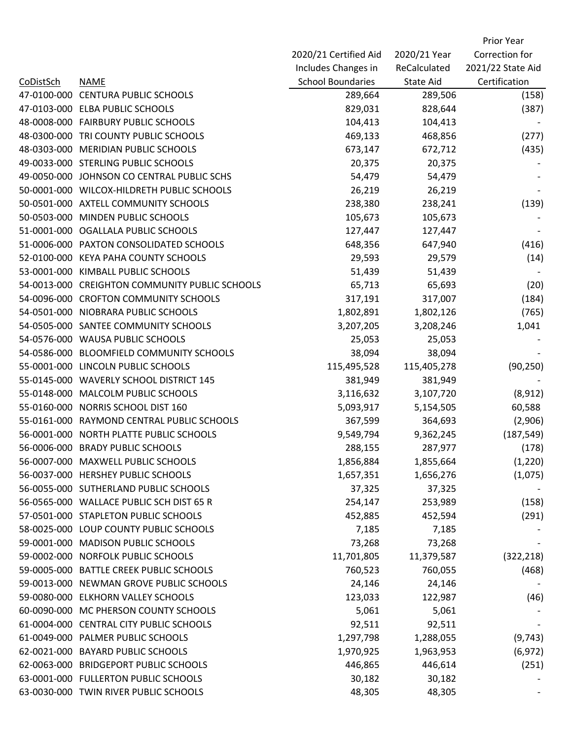|                  |                                                |                          |                  | Prior Year        |
|------------------|------------------------------------------------|--------------------------|------------------|-------------------|
|                  |                                                | 2020/21 Certified Aid    | 2020/21 Year     | Correction for    |
|                  |                                                | Includes Changes in      | ReCalculated     | 2021/22 State Aid |
| <b>CoDistSch</b> | <b>NAME</b>                                    | <b>School Boundaries</b> | <b>State Aid</b> | Certification     |
| 47-0100-000      | <b>CENTURA PUBLIC SCHOOLS</b>                  | 289,664                  | 289,506          | (158)             |
|                  | 47-0103-000 ELBA PUBLIC SCHOOLS                | 829,031                  | 828,644          | (387)             |
|                  | 48-0008-000 FAIRBURY PUBLIC SCHOOLS            | 104,413                  | 104,413          |                   |
|                  | 48-0300-000 TRI COUNTY PUBLIC SCHOOLS          | 469,133                  | 468,856          | (277)             |
| 48-0303-000      | <b>MERIDIAN PUBLIC SCHOOLS</b>                 | 673,147                  | 672,712          | (435)             |
|                  | 49-0033-000 STERLING PUBLIC SCHOOLS            | 20,375                   | 20,375           |                   |
|                  | 49-0050-000 JOHNSON CO CENTRAL PUBLIC SCHS     | 54,479                   | 54,479           |                   |
|                  | 50-0001-000 WILCOX-HILDRETH PUBLIC SCHOOLS     | 26,219                   | 26,219           |                   |
|                  | 50-0501-000 AXTELL COMMUNITY SCHOOLS           | 238,380                  | 238,241          | (139)             |
| 50-0503-000      | MINDEN PUBLIC SCHOOLS                          | 105,673                  | 105,673          |                   |
|                  | 51-0001-000 OGALLALA PUBLIC SCHOOLS            | 127,447                  | 127,447          |                   |
|                  | 51-0006-000 PAXTON CONSOLIDATED SCHOOLS        | 648,356                  | 647,940          | (416)             |
|                  | 52-0100-000 KEYA PAHA COUNTY SCHOOLS           | 29,593                   | 29,579           | (14)              |
|                  | 53-0001-000 KIMBALL PUBLIC SCHOOLS             | 51,439                   | 51,439           |                   |
|                  | 54-0013-000 CREIGHTON COMMUNITY PUBLIC SCHOOLS | 65,713                   | 65,693           | (20)              |
|                  | 54-0096-000 CROFTON COMMUNITY SCHOOLS          | 317,191                  | 317,007          | (184)             |
| 54-0501-000      | NIOBRARA PUBLIC SCHOOLS                        | 1,802,891                | 1,802,126        | (765)             |
|                  | 54-0505-000 SANTEE COMMUNITY SCHOOLS           | 3,207,205                | 3,208,246        | 1,041             |
|                  | 54-0576-000 WAUSA PUBLIC SCHOOLS               | 25,053                   | 25,053           |                   |
| 54-0586-000      | <b>BLOOMFIELD COMMUNITY SCHOOLS</b>            | 38,094                   | 38,094           |                   |
| 55-0001-000      | LINCOLN PUBLIC SCHOOLS                         | 115,495,528              | 115,405,278      | (90, 250)         |
|                  | 55-0145-000 WAVERLY SCHOOL DISTRICT 145        | 381,949                  | 381,949          |                   |
| 55-0148-000      | MALCOLM PUBLIC SCHOOLS                         | 3,116,632                | 3,107,720        | (8, 912)          |
| 55-0160-000      | NORRIS SCHOOL DIST 160                         | 5,093,917                | 5,154,505        | 60,588            |
| 55-0161-000      | RAYMOND CENTRAL PUBLIC SCHOOLS                 | 367,599                  | 364,693          | (2,906)           |
| 56-0001-000      | NORTH PLATTE PUBLIC SCHOOLS                    | 9,549,794                | 9,362,245        | (187, 549)        |
|                  | 56-0006-000 BRADY PUBLIC SCHOOLS               | 288,155                  | 287,977          | (178)             |
|                  | 56-0007-000 MAXWELL PUBLIC SCHOOLS             | 1,856,884                | 1,855,664        | (1,220)           |
|                  | 56-0037-000 HERSHEY PUBLIC SCHOOLS             | 1,657,351                | 1,656,276        | (1,075)           |
|                  | 56-0055-000 SUTHERLAND PUBLIC SCHOOLS          | 37,325                   | 37,325           |                   |
|                  | 56-0565-000 WALLACE PUBLIC SCH DIST 65 R       | 254,147                  | 253,989          | (158)             |
|                  | 57-0501-000 STAPLETON PUBLIC SCHOOLS           | 452,885                  | 452,594          | (291)             |
|                  | 58-0025-000 LOUP COUNTY PUBLIC SCHOOLS         | 7,185                    | 7,185            |                   |
| 59-0001-000      | <b>MADISON PUBLIC SCHOOLS</b>                  | 73,268                   | 73,268           |                   |
|                  | 59-0002-000 NORFOLK PUBLIC SCHOOLS             | 11,701,805               | 11,379,587       | (322, 218)        |
|                  | 59-0005-000 BATTLE CREEK PUBLIC SCHOOLS        | 760,523                  | 760,055          | (468)             |
|                  | 59-0013-000 NEWMAN GROVE PUBLIC SCHOOLS        | 24,146                   | 24,146           |                   |
|                  | 59-0080-000 ELKHORN VALLEY SCHOOLS             | 123,033                  | 122,987          | (46)              |
|                  | 60-0090-000 MC PHERSON COUNTY SCHOOLS          | 5,061                    | 5,061            |                   |
|                  | 61-0004-000 CENTRAL CITY PUBLIC SCHOOLS        | 92,511                   | 92,511           |                   |
|                  | 61-0049-000 PALMER PUBLIC SCHOOLS              | 1,297,798                | 1,288,055        | (9, 743)          |
|                  | 62-0021-000 BAYARD PUBLIC SCHOOLS              | 1,970,925                | 1,963,953        | (6, 972)          |
|                  | 62-0063-000 BRIDGEPORT PUBLIC SCHOOLS          | 446,865                  | 446,614          | (251)             |
|                  | 63-0001-000 FULLERTON PUBLIC SCHOOLS           | 30,182                   | 30,182           |                   |
|                  | 63-0030-000 TWIN RIVER PUBLIC SCHOOLS          | 48,305                   | 48,305           |                   |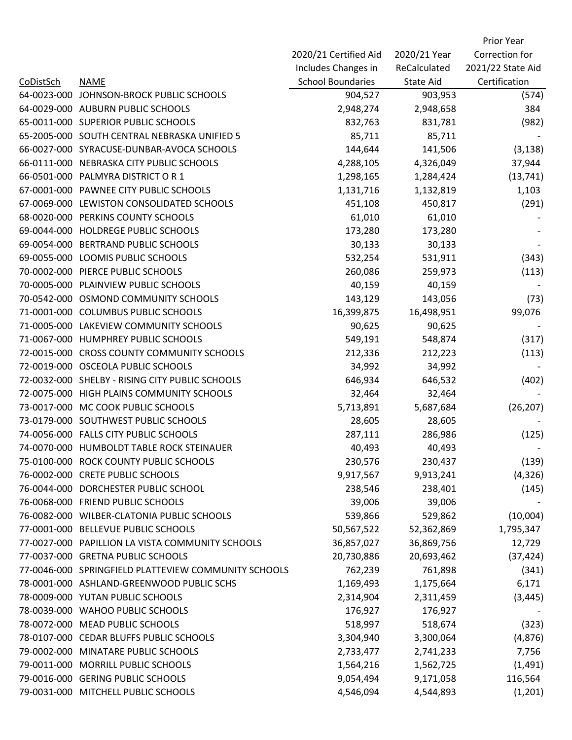|                  |                                                      |                          |              | Prior Year        |
|------------------|------------------------------------------------------|--------------------------|--------------|-------------------|
|                  |                                                      | 2020/21 Certified Aid    | 2020/21 Year | Correction for    |
|                  |                                                      | Includes Changes in      | ReCalculated | 2021/22 State Aid |
| <b>CoDistSch</b> | <b>NAME</b>                                          | <b>School Boundaries</b> | State Aid    | Certification     |
| 64-0023-000      | JOHNSON-BROCK PUBLIC SCHOOLS                         | 904,527                  | 903,953      | (574)             |
|                  | 64-0029-000 AUBURN PUBLIC SCHOOLS                    | 2,948,274                | 2,948,658    | 384               |
|                  | 65-0011-000 SUPERIOR PUBLIC SCHOOLS                  | 832,763                  | 831,781      | (982)             |
|                  | 65-2005-000 SOUTH CENTRAL NEBRASKA UNIFIED 5         | 85,711                   | 85,711       |                   |
| 66-0027-000      | SYRACUSE-DUNBAR-AVOCA SCHOOLS                        | 144,644                  | 141,506      | (3, 138)          |
| 66-0111-000      | NEBRASKA CITY PUBLIC SCHOOLS                         | 4,288,105                | 4,326,049    | 37,944            |
|                  | 66-0501-000 PALMYRA DISTRICT OR 1                    | 1,298,165                | 1,284,424    | (13, 741)         |
| 67-0001-000      | PAWNEE CITY PUBLIC SCHOOLS                           | 1,131,716                | 1,132,819    | 1,103             |
| 67-0069-000      | LEWISTON CONSOLIDATED SCHOOLS                        | 451,108                  | 450,817      | (291)             |
| 68-0020-000      | PERKINS COUNTY SCHOOLS                               | 61,010                   | 61,010       |                   |
| 69-0044-000      | HOLDREGE PUBLIC SCHOOLS                              | 173,280                  | 173,280      |                   |
| 69-0054-000      | <b>BERTRAND PUBLIC SCHOOLS</b>                       | 30,133                   | 30,133       |                   |
| 69-0055-000      | LOOMIS PUBLIC SCHOOLS                                | 532,254                  | 531,911      | (343)             |
|                  | 70-0002-000 PIERCE PUBLIC SCHOOLS                    | 260,086                  | 259,973      | (113)             |
| 70-0005-000      | PLAINVIEW PUBLIC SCHOOLS                             | 40,159                   | 40,159       |                   |
|                  | 70-0542-000 OSMOND COMMUNITY SCHOOLS                 | 143,129                  | 143,056      | (73)              |
| 71-0001-000      | <b>COLUMBUS PUBLIC SCHOOLS</b>                       | 16,399,875               | 16,498,951   | 99,076            |
| 71-0005-000      | LAKEVIEW COMMUNITY SCHOOLS                           | 90,625                   | 90,625       |                   |
| 71-0067-000      | HUMPHREY PUBLIC SCHOOLS                              | 549,191                  | 548,874      | (317)             |
| 72-0015-000      | <b>CROSS COUNTY COMMUNITY SCHOOLS</b>                | 212,336                  | 212,223      | (113)             |
|                  | 72-0019-000 OSCEOLA PUBLIC SCHOOLS                   | 34,992                   | 34,992       |                   |
|                  | 72-0032-000 SHELBY - RISING CITY PUBLIC SCHOOLS      | 646,934                  | 646,532      | (402)             |
| 72-0075-000      | HIGH PLAINS COMMUNITY SCHOOLS                        | 32,464                   | 32,464       |                   |
| 73-0017-000      | MC COOK PUBLIC SCHOOLS                               | 5,713,891                | 5,687,684    | (26, 207)         |
| 73-0179-000      | SOUTHWEST PUBLIC SCHOOLS                             | 28,605                   | 28,605       |                   |
|                  | 74-0056-000 FALLS CITY PUBLIC SCHOOLS                | 287,111                  | 286,986      | (125)             |
|                  | 74-0070-000 HUMBOLDT TABLE ROCK STEINAUER            | 40,493                   | 40,493       |                   |
| 75-0100-000      | ROCK COUNTY PUBLIC SCHOOLS                           | 230,576                  | 230,437      | (139)             |
| 76-0002-000      | <b>CRETE PUBLIC SCHOOLS</b>                          | 9,917,567                | 9,913,241    | (4, 326)          |
| 76-0044-000      | DORCHESTER PUBLIC SCHOOL                             | 238,546                  | 238,401      | (145)             |
|                  | 76-0068-000 FRIEND PUBLIC SCHOOLS                    | 39,006                   | 39,006       |                   |
|                  | 76-0082-000 WILBER-CLATONIA PUBLIC SCHOOLS           | 539,866                  | 529,862      | (10,004)          |
|                  | 77-0001-000 BELLEVUE PUBLIC SCHOOLS                  | 50,567,522               | 52,362,869   | 1,795,347         |
|                  | 77-0027-000 PAPILLION LA VISTA COMMUNITY SCHOOLS     | 36,857,027               | 36,869,756   | 12,729            |
|                  | 77-0037-000 GRETNA PUBLIC SCHOOLS                    | 20,730,886               | 20,693,462   | (37, 424)         |
|                  | 77-0046-000 SPRINGFIELD PLATTEVIEW COMMUNITY SCHOOLS | 762,239                  | 761,898      | (341)             |
|                  | 78-0001-000 ASHLAND-GREENWOOD PUBLIC SCHS            | 1,169,493                | 1,175,664    | 6,171             |
|                  | 78-0009-000 YUTAN PUBLIC SCHOOLS                     | 2,314,904                | 2,311,459    | (3, 445)          |
|                  | 78-0039-000 WAHOO PUBLIC SCHOOLS                     | 176,927                  | 176,927      |                   |
| 78-0072-000      | <b>MEAD PUBLIC SCHOOLS</b>                           | 518,997                  | 518,674      | (323)             |
| 78-0107-000      | <b>CEDAR BLUFFS PUBLIC SCHOOLS</b>                   | 3,304,940                | 3,300,064    | (4,876)           |
| 79-0002-000      | MINATARE PUBLIC SCHOOLS                              | 2,733,477                | 2,741,233    | 7,756             |
| 79-0011-000      | MORRILL PUBLIC SCHOOLS                               | 1,564,216                | 1,562,725    | (1, 491)          |
| 79-0016-000      | <b>GERING PUBLIC SCHOOLS</b>                         | 9,054,494                | 9,171,058    | 116,564           |
|                  | 79-0031-000 MITCHELL PUBLIC SCHOOLS                  | 4,546,094                | 4,544,893    | (1,201)           |
|                  |                                                      |                          |              |                   |